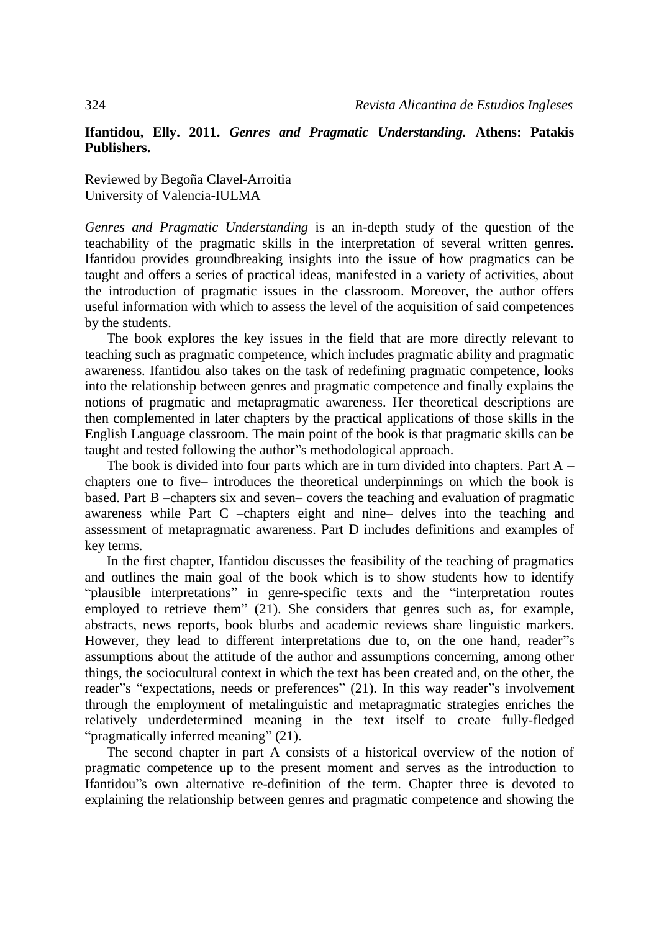## **Ifantidou, Elly. 2011.** *Genres and Pragmatic Understanding.* **Athens: Patakis Publishers.**

Reviewed by Begoña Clavel-Arroitia University of Valencia-IULMA

*Genres and Pragmatic Understanding* is an in-depth study of the question of the teachability of the pragmatic skills in the interpretation of several written genres. Ifantidou provides groundbreaking insights into the issue of how pragmatics can be taught and offers a series of practical ideas, manifested in a variety of activities, about the introduction of pragmatic issues in the classroom. Moreover, the author offers useful information with which to assess the level of the acquisition of said competences by the students.

The book explores the key issues in the field that are more directly relevant to teaching such as pragmatic competence, which includes pragmatic ability and pragmatic awareness. Ifantidou also takes on the task of redefining pragmatic competence, looks into the relationship between genres and pragmatic competence and finally explains the notions of pragmatic and metapragmatic awareness. Her theoretical descriptions are then complemented in later chapters by the practical applications of those skills in the English Language classroom. The main point of the book is that pragmatic skills can be taught and tested following the author"s methodological approach.

The book is divided into four parts which are in turn divided into chapters. Part A – chapters one to five– introduces the theoretical underpinnings on which the book is based. Part B –chapters six and seven– covers the teaching and evaluation of pragmatic awareness while Part C –chapters eight and nine– delves into the teaching and assessment of metapragmatic awareness. Part D includes definitions and examples of key terms.

In the first chapter, Ifantidou discusses the feasibility of the teaching of pragmatics and outlines the main goal of the book which is to show students how to identify "plausible interpretations" in genre-specific texts and the "interpretation routes employed to retrieve them" (21). She considers that genres such as, for example, abstracts, news reports, book blurbs and academic reviews share linguistic markers. However, they lead to different interpretations due to, on the one hand, reader"s assumptions about the attitude of the author and assumptions concerning, among other things, the sociocultural context in which the text has been created and, on the other, the reader"s "expectations, needs or preferences" (21). In this way reader"s involvement through the employment of metalinguistic and metapragmatic strategies enriches the relatively underdetermined meaning in the text itself to create fully-fledged "pragmatically inferred meaning" (21).

The second chapter in part A consists of a historical overview of the notion of pragmatic competence up to the present moment and serves as the introduction to Ifantidou"s own alternative re-definition of the term. Chapter three is devoted to explaining the relationship between genres and pragmatic competence and showing the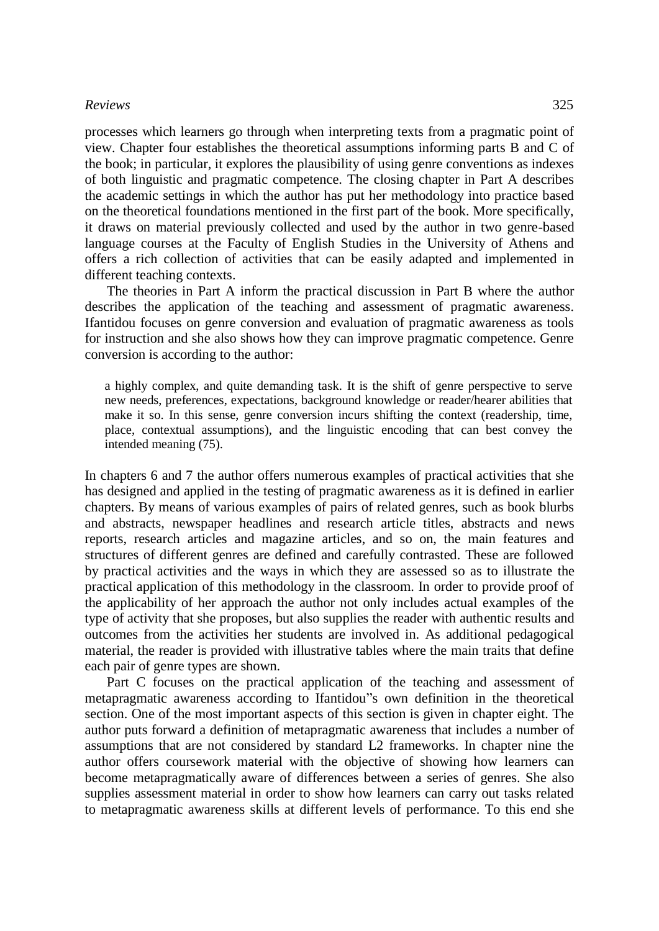## *Reviews* 325

processes which learners go through when interpreting texts from a pragmatic point of view. Chapter four establishes the theoretical assumptions informing parts B and C of the book; in particular, it explores the plausibility of using genre conventions as indexes of both linguistic and pragmatic competence. The closing chapter in Part A describes the academic settings in which the author has put her methodology into practice based on the theoretical foundations mentioned in the first part of the book. More specifically, it draws on material previously collected and used by the author in two genre-based language courses at the Faculty of English Studies in the University of Athens and offers a rich collection of activities that can be easily adapted and implemented in different teaching contexts.

The theories in Part A inform the practical discussion in Part B where the author describes the application of the teaching and assessment of pragmatic awareness. Ifantidou focuses on genre conversion and evaluation of pragmatic awareness as tools for instruction and she also shows how they can improve pragmatic competence. Genre conversion is according to the author:

a highly complex, and quite demanding task. It is the shift of genre perspective to serve new needs, preferences, expectations, background knowledge or reader/hearer abilities that make it so. In this sense, genre conversion incurs shifting the context (readership, time, place, contextual assumptions), and the linguistic encoding that can best convey the intended meaning (75).

In chapters 6 and 7 the author offers numerous examples of practical activities that she has designed and applied in the testing of pragmatic awareness as it is defined in earlier chapters. By means of various examples of pairs of related genres, such as book blurbs and abstracts, newspaper headlines and research article titles, abstracts and news reports, research articles and magazine articles, and so on, the main features and structures of different genres are defined and carefully contrasted. These are followed by practical activities and the ways in which they are assessed so as to illustrate the practical application of this methodology in the classroom. In order to provide proof of the applicability of her approach the author not only includes actual examples of the type of activity that she proposes, but also supplies the reader with authentic results and outcomes from the activities her students are involved in. As additional pedagogical material, the reader is provided with illustrative tables where the main traits that define each pair of genre types are shown.

Part C focuses on the practical application of the teaching and assessment of metapragmatic awareness according to Ifantidou"s own definition in the theoretical section. One of the most important aspects of this section is given in chapter eight. The author puts forward a definition of metapragmatic awareness that includes a number of assumptions that are not considered by standard L2 frameworks. In chapter nine the author offers coursework material with the objective of showing how learners can become metapragmatically aware of differences between a series of genres. She also supplies assessment material in order to show how learners can carry out tasks related to metapragmatic awareness skills at different levels of performance. To this end she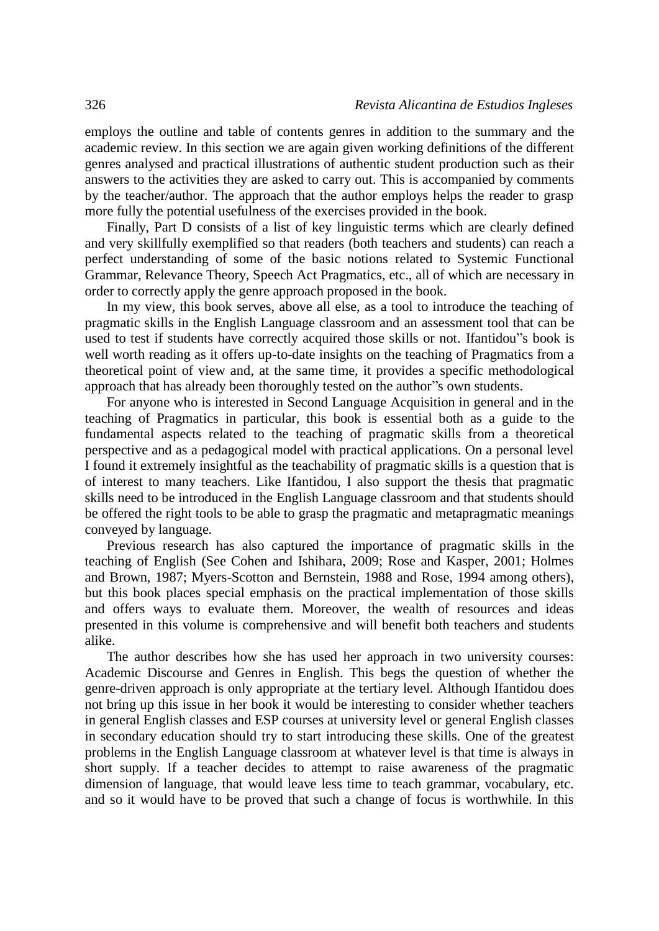employs the outline and table of contents genres in addition to the summary and the academic review. In this section we are again given working definitions of the different genres analysed and practical illustrations of authentic student production such as their answers to the activities they are asked to carry out. This is accompanied by comments by the teacher/author. The approach that the author employs helps the reader to grasp more fully the potential usefulness of the exercises provided in the book.

Finally, Part D consists of a list of key linguistic terms which are clearly defined and very skillfully exemplified so that readers (both teachers and students) can reach a perfect understanding of some of the basic notions related to Systemic Functional Grammar, Relevance Theory, Speech Act Pragmatics, etc., all of which are necessary in order to correctly apply the genre approach proposed in the book.

In my view, this book serves, above all else, as a tool to introduce the teaching of pragmatic skills in the English Language classroom and an assessment tool that can be used to test if students have correctly acquired those skills or not. Ifantidou"s book is well worth reading as it offers up-to-date insights on the teaching of Pragmatics from a theoretical point of view and, at the same time, it provides a specific methodological approach that has already been thoroughly tested on the author"s own students.

For anyone who is interested in Second Language Acquisition in general and in the teaching of Pragmatics in particular, this book is essential both as a guide to the fundamental aspects related to the teaching of pragmatic skills from a theoretical perspective and as a pedagogical model with practical applications. On a personal level I found it extremely insightful as the teachability of pragmatic skills is a question that is of interest to many teachers. Like Ifantidou, I also support the thesis that pragmatic skills need to be introduced in the English Language classroom and that students should be offered the right tools to be able to grasp the pragmatic and metapragmatic meanings conveyed by language.

Previous research has also captured the importance of pragmatic skills in the teaching of English (See Cohen and Ishihara, 2009; Rose and Kasper, 2001; Holmes and Brown, 1987; Myers-Scotton and Bernstein, 1988 and Rose, 1994 among others), but this book places special emphasis on the practical implementation of those skills and offers ways to evaluate them. Moreover, the wealth of resources and ideas presented in this volume is comprehensive and will benefit both teachers and students alike.

The author describes how she has used her approach in two university courses: Academic Discourse and Genres in English. This begs the question of whether the genre-driven approach is only appropriate at the tertiary level. Although Ifantidou does not bring up this issue in her book it would be interesting to consider whether teachers in general English classes and ESP courses at university level or general English classes in secondary education should try to start introducing these skills. One of the greatest problems in the English Language classroom at whatever level is that time is always in short supply. If a teacher decides to attempt to raise awareness of the pragmatic dimension of language, that would leave less time to teach grammar, vocabulary, etc. and so it would have to be proved that such a change of focus is worthwhile. In this